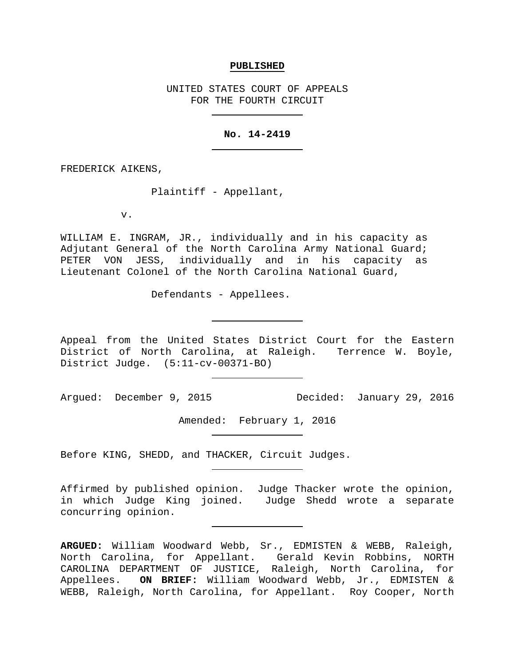#### **PUBLISHED**

UNITED STATES COURT OF APPEALS FOR THE FOURTH CIRCUIT

### **No. 14-2419**

FREDERICK AIKENS,

Plaintiff - Appellant,

v.

WILLIAM E. INGRAM, JR., individually and in his capacity as Adjutant General of the North Carolina Army National Guard; PETER VON JESS, individually and in his capacity as Lieutenant Colonel of the North Carolina National Guard,

Defendants - Appellees.

Appeal from the United States District Court for the Eastern District of North Carolina, at Raleigh. Terrence W. Boyle, District Judge. (5:11-cv-00371-BO)

Argued: December 9, 2015 Decided: January 29, 2016

Amended: February 1, 2016

Before KING, SHEDD, and THACKER, Circuit Judges.

Affirmed by published opinion. Judge Thacker wrote the opinion, in which Judge King joined. Judge Shedd wrote a separate concurring opinion.

**ARGUED:** William Woodward Webb, Sr., EDMISTEN & WEBB, Raleigh, North Carolina, for Appellant. Gerald Kevin Robbins, NORTH CAROLINA DEPARTMENT OF JUSTICE, Raleigh, North Carolina, for Appellees. **ON BRIEF:** William Woodward Webb, Jr., EDMISTEN & WEBB, Raleigh, North Carolina, for Appellant. Roy Cooper, North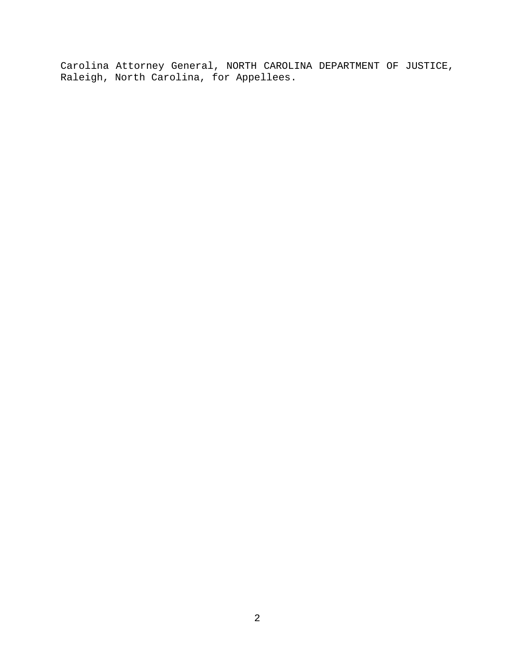Carolina Attorney General, NORTH CAROLINA DEPARTMENT OF JUSTICE, Raleigh, North Carolina, for Appellees.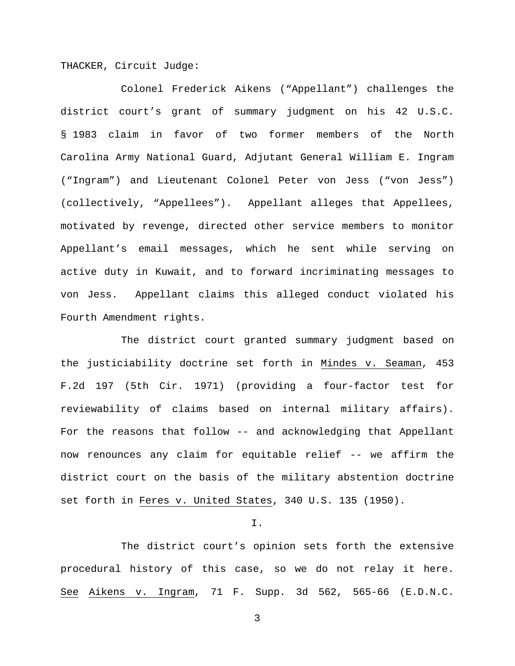THACKER, Circuit Judge:

Colonel Frederick Aikens ("Appellant") challenges the district court's grant of summary judgment on his 42 U.S.C. § 1983 claim in favor of two former members of the North Carolina Army National Guard, Adjutant General William E. Ingram ("Ingram") and Lieutenant Colonel Peter von Jess ("von Jess") (collectively, "Appellees"). Appellant alleges that Appellees, motivated by revenge, directed other service members to monitor Appellant's email messages, which he sent while serving on active duty in Kuwait, and to forward incriminating messages to von Jess. Appellant claims this alleged conduct violated his Fourth Amendment rights.

The district court granted summary judgment based on the justiciability doctrine set forth in Mindes v. Seaman, 453 F.2d 197 (5th Cir. 1971) (providing a four-factor test for reviewability of claims based on internal military affairs). For the reasons that follow -- and acknowledging that Appellant now renounces any claim for equitable relief -- we affirm the district court on the basis of the military abstention doctrine set forth in Feres v. United States, 340 U.S. 135 (1950).

I.

The district court's opinion sets forth the extensive procedural history of this case, so we do not relay it here. See Aikens v. Ingram, 71 F. Supp. 3d 562, 565-66 (E.D.N.C.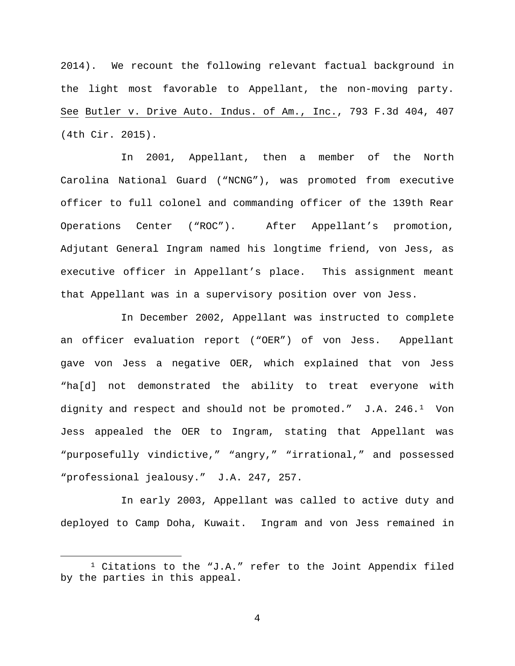2014). We recount the following relevant factual background in the light most favorable to Appellant, the non-moving party. See Butler v. Drive Auto. Indus. of Am., Inc., 793 F.3d 404, 407 (4th Cir. 2015).

In 2001, Appellant, then a member of the North Carolina National Guard ("NCNG"), was promoted from executive officer to full colonel and commanding officer of the 139th Rear Operations Center ("ROC"). After Appellant's promotion, Adjutant General Ingram named his longtime friend, von Jess, as executive officer in Appellant's place. This assignment meant that Appellant was in a supervisory position over von Jess.

In December 2002, Appellant was instructed to complete an officer evaluation report ("OER") of von Jess. Appellant gave von Jess a negative OER, which explained that von Jess "ha[d] not demonstrated the ability to treat everyone with dignity and respect and should not be promoted."  $J.A. 246.1$  Von Jess appealed the OER to Ingram, stating that Appellant was "purposefully vindictive," "angry," "irrational," and possessed "professional jealousy." J.A. 247, 257.

In early 2003, Appellant was called to active duty and deployed to Camp Doha, Kuwait. Ingram and von Jess remained in

<span id="page-3-0"></span> <sup>1</sup> Citations to the "J.A." refer to the Joint Appendix filed by the parties in this appeal.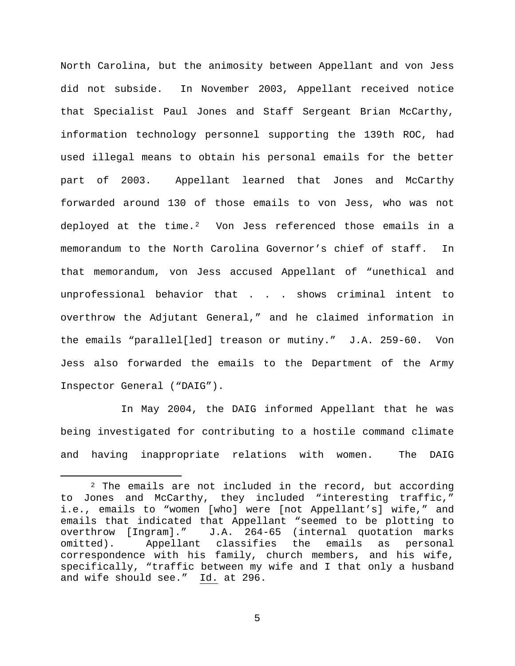North Carolina, but the animosity between Appellant and von Jess did not subside. In November 2003, Appellant received notice that Specialist Paul Jones and Staff Sergeant Brian McCarthy, information technology personnel supporting the 139th ROC, had used illegal means to obtain his personal emails for the better part of 2003. Appellant learned that Jones and McCarthy forwarded around 130 of those emails to von Jess, who was not deployed at the time.<sup>[2](#page-4-0)</sup> Von Jess referenced those emails in a memorandum to the North Carolina Governor's chief of staff. In that memorandum, von Jess accused Appellant of "unethical and unprofessional behavior that . . . shows criminal intent to overthrow the Adjutant General," and he claimed information in the emails "parallel[led] treason or mutiny." J.A. 259-60. Von Jess also forwarded the emails to the Department of the Army Inspector General ("DAIG").

In May 2004, the DAIG informed Appellant that he was being investigated for contributing to a hostile command climate and having inappropriate relations with women. The DAIG

<span id="page-4-0"></span> $2$  The emails are not included in the record, but according to Jones and McCarthy, they included "interesting traffic," i.e., emails to "women [who] were [not Appellant's] wife," and emails that indicated that Appellant "seemed to be plotting to<br>overthrow [Ingram]." J.A. 264-65 (internal quotation marks J.A. 264-65 (internal quotation marks omitted). Appellant classifies the emails as personal correspondence with his family, church members, and his wife, specifically, "traffic between my wife and I that only a husband and wife should see." Id. at 296.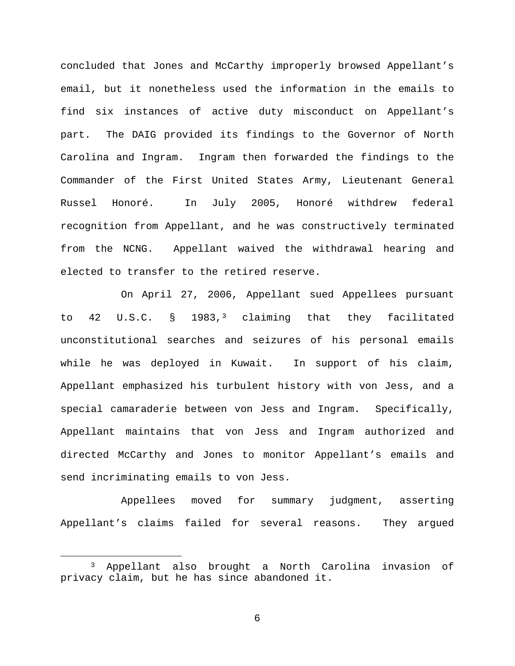concluded that Jones and McCarthy improperly browsed Appellant's email, but it nonetheless used the information in the emails to find six instances of active duty misconduct on Appellant's part. The DAIG provided its findings to the Governor of North Carolina and Ingram. Ingram then forwarded the findings to the Commander of the First United States Army, Lieutenant General Russel Honoré. In July 2005, Honoré withdrew federal recognition from Appellant, and he was constructively terminated from the NCNG. Appellant waived the withdrawal hearing and elected to transfer to the retired reserve.

On April 27, 2006, Appellant sued Appellees pursuant to 42 U.S.C. § 1983,[3](#page-5-0) claiming that they facilitated unconstitutional searches and seizures of his personal emails while he was deployed in Kuwait. In support of his claim, Appellant emphasized his turbulent history with von Jess, and a special camaraderie between von Jess and Ingram. Specifically, Appellant maintains that von Jess and Ingram authorized and directed McCarthy and Jones to monitor Appellant's emails and send incriminating emails to von Jess.

Appellees moved for summary judgment, asserting Appellant's claims failed for several reasons. They argued

<span id="page-5-0"></span> <sup>3</sup> Appellant also brought a North Carolina invasion of privacy claim, but he has since abandoned it.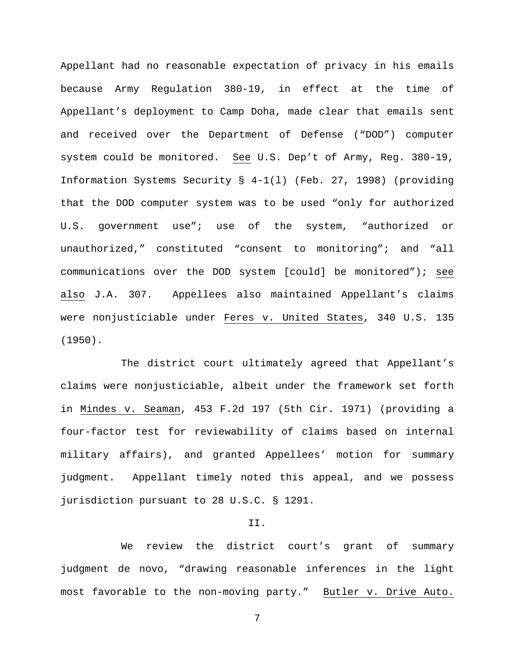Appellant had no reasonable expectation of privacy in his emails because Army Regulation 380-19, in effect at the time of Appellant's deployment to Camp Doha, made clear that emails sent and received over the Department of Defense ("DOD") computer system could be monitored. See U.S. Dep't of Army, Reg. 380-19, Information Systems Security § 4-1(l) (Feb. 27, 1998) (providing that the DOD computer system was to be used "only for authorized U.S. government use"; use of the system, "authorized or unauthorized," constituted "consent to monitoring"; and "all communications over the DOD system [could] be monitored"); see also J.A. 307. Appellees also maintained Appellant's claims were nonjusticiable under Feres v. United States, 340 U.S. 135 (1950).

The district court ultimately agreed that Appellant's claims were nonjusticiable, albeit under the framework set forth in Mindes v. Seaman, 453 F.2d 197 (5th Cir. 1971) (providing a four-factor test for reviewability of claims based on internal military affairs), and granted Appellees' motion for summary judgment. Appellant timely noted this appeal, and we possess jurisdiction pursuant to 28 U.S.C. § 1291.

## II.

We review the district court's grant of summary judgment de novo, "drawing reasonable inferences in the light most favorable to the non-moving party." Butler v. Drive Auto.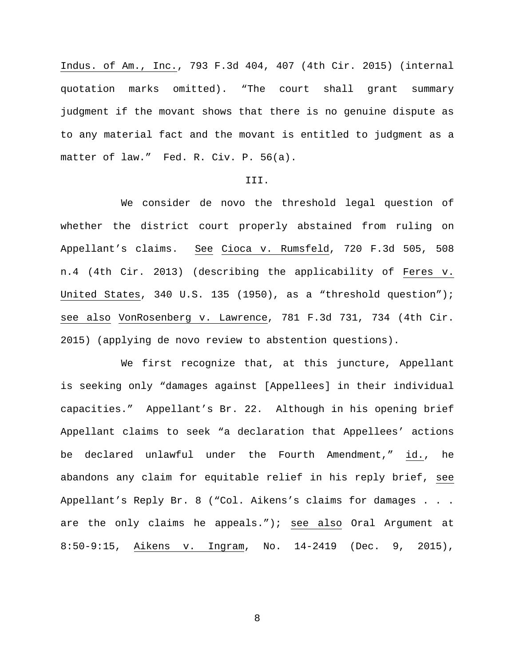Indus. of Am., Inc., 793 F.3d 404, 407 (4th Cir. 2015) (internal quotation marks omitted). "The court shall grant summary judgment if the movant shows that there is no genuine dispute as to any material fact and the movant is entitled to judgment as a matter of law." Fed. R. Civ. P. 56(a).

### III.

We consider de novo the threshold legal question of whether the district court properly abstained from ruling on Appellant's claims. See Cioca v. Rumsfeld, 720 F.3d 505, 508 n.4 (4th Cir. 2013) (describing the applicability of Feres v. United States, 340 U.S. 135 (1950), as a "threshold question"); see also VonRosenberg v. Lawrence, 781 F.3d 731, 734 (4th Cir. 2015) (applying de novo review to abstention questions).

We first recognize that, at this juncture, Appellant is seeking only "damages against [Appellees] in their individual capacities." Appellant's Br. 22. Although in his opening brief Appellant claims to seek "a declaration that Appellees' actions be declared unlawful under the Fourth Amendment," id., he abandons any claim for equitable relief in his reply brief, see Appellant's Reply Br. 8 ("Col. Aikens's claims for damages . . . are the only claims he appeals."); see also Oral Argument at 8:50-9:15, Aikens v. Ingram, No. 14-2419 (Dec. 9, 2015),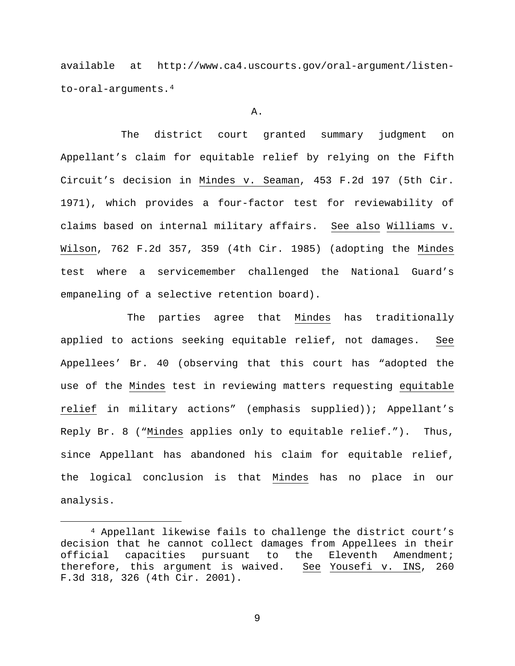available at http://www.ca4.uscourts.gov/oral-argument/listento-oral-arguments.[4](#page-8-0)

### A.

The district court granted summary judgment on Appellant's claim for equitable relief by relying on the Fifth Circuit's decision in Mindes v. Seaman, 453 F.2d 197 (5th Cir. 1971), which provides a four-factor test for reviewability of claims based on internal military affairs. See also Williams v. Wilson, 762 F.2d 357, 359 (4th Cir. 1985) (adopting the Mindes test where a servicemember challenged the National Guard's empaneling of a selective retention board).

The parties agree that Mindes has traditionally applied to actions seeking equitable relief, not damages. See Appellees' Br. 40 (observing that this court has "adopted the use of the Mindes test in reviewing matters requesting equitable relief in military actions" (emphasis supplied)); Appellant's Reply Br. 8 ("Mindes applies only to equitable relief."). Thus, since Appellant has abandoned his claim for equitable relief, the logical conclusion is that Mindes has no place in our analysis.

<span id="page-8-0"></span> <sup>4</sup> Appellant likewise fails to challenge the district court's decision that he cannot collect damages from Appellees in their<br>official capacities pursuant to the Eleventh Amendment; capacities pursuant therefore, this argument is waived. See Yousefi v. INS, 260 F.3d 318, 326 (4th Cir. 2001).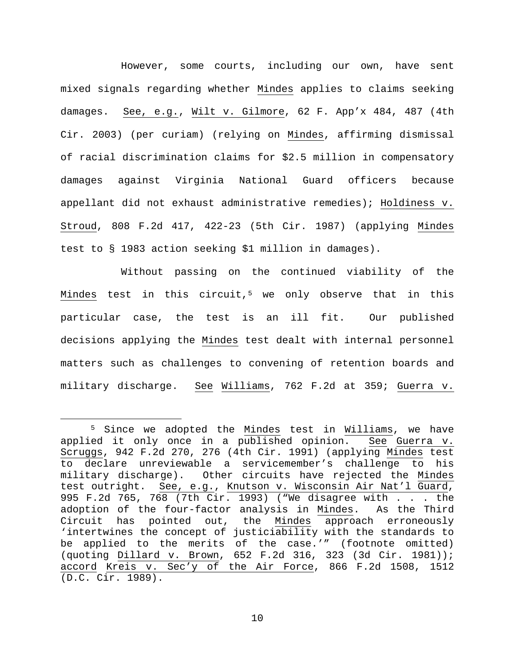However, some courts, including our own, have sent mixed signals regarding whether Mindes applies to claims seeking damages. See, e.g., Wilt v. Gilmore, 62 F. App'x 484, 487 (4th Cir. 2003) (per curiam) (relying on Mindes, affirming dismissal of racial discrimination claims for \$2.5 million in compensatory damages against Virginia National Guard officers because appellant did not exhaust administrative remedies); Holdiness v. Stroud, 808 F.2d 417, 422-23 (5th Cir. 1987) (applying Mindes test to § 1983 action seeking \$1 million in damages).

Without passing on the continued viability of the Mindes test in this circuit,<sup>[5](#page-9-0)</sup> we only observe that in this particular case, the test is an ill fit. Our published decisions applying the Mindes test dealt with internal personnel matters such as challenges to convening of retention boards and military discharge. See Williams, 762 F.2d at 359; Guerra v.

<span id="page-9-0"></span> <sup>5</sup> Since we adopted the Mindes test in Williams, we have applied it only once in a published opinion. See Guerra v. Scruggs, 942 F.2d 270, 276 (4th Cir. 1991) (applying Mindes test to declare unreviewable a servicemember's challenge to his military discharge). Other circuits have rejected the Mindes test outright. See, e.g., Knutson v. Wisconsin Air Nat'l Guard, 995 F.2d 765, 768 (7th Cir. 1993) ("We disagree with . . . the adoption of the four-factor analysis in Mindes. As the Third Circuit has pointed out, the Mindes approach erroneously 'intertwines the concept of justiciability with the standards to be applied to the merits of the case.'" (footnote omitted) (quoting Dillard v. Brown, 652 F.2d 316, 323 (3d Cir. 1981)); accord Kreis v. Sec'y of the Air Force, 866 F.2d 1508, 1512 (D.C. Cir. 1989).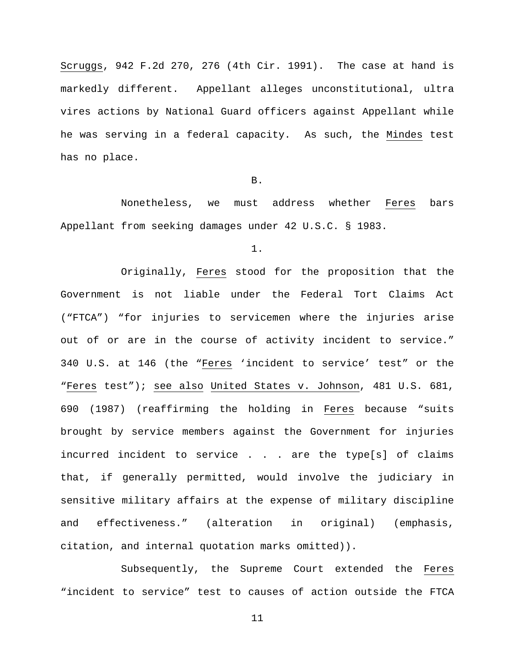Scruggs, 942 F.2d 270, 276 (4th Cir. 1991). The case at hand is markedly different. Appellant alleges unconstitutional, ultra vires actions by National Guard officers against Appellant while he was serving in a federal capacity. As such, the Mindes test has no place.

### B.

Nonetheless, we must address whether Feres bars Appellant from seeking damages under 42 U.S.C. § 1983.

1.

Originally, Feres stood for the proposition that the Government is not liable under the Federal Tort Claims Act ("FTCA") "for injuries to servicemen where the injuries arise out of or are in the course of activity incident to service." 340 U.S. at 146 (the "Feres 'incident to service' test" or the "Feres test"); see also United States v. Johnson, 481 U.S. 681, 690 (1987) (reaffirming the holding in Feres because "suits brought by service members against the Government for injuries incurred incident to service . . . are the type[s] of claims that, if generally permitted, would involve the judiciary in sensitive military affairs at the expense of military discipline and effectiveness." (alteration in original) (emphasis, citation, and internal quotation marks omitted)).

 Subsequently, the Supreme Court extended the Feres "incident to service" test to causes of action outside the FTCA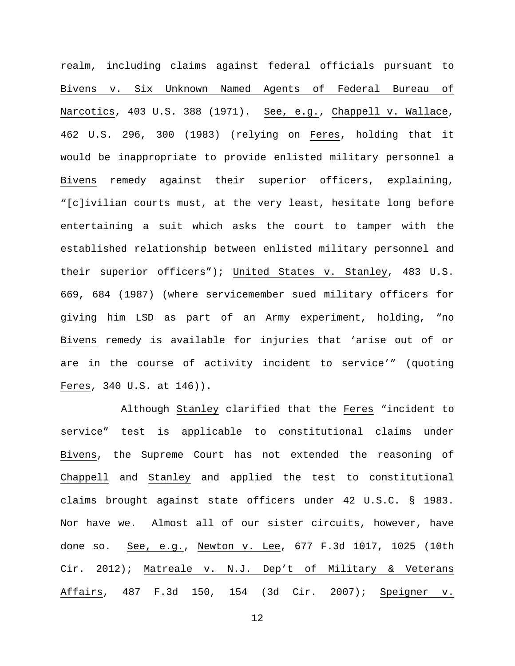realm, including claims against federal officials pursuant to Bivens v. Six Unknown Named Agents of Federal Bureau of Narcotics, 403 U.S. 388 (1971). See, e.g., Chappell v. Wallace, 462 U.S. 296, 300 (1983) (relying on Feres, holding that it would be inappropriate to provide enlisted military personnel a Bivens remedy against their superior officers, explaining, "[c]ivilian courts must, at the very least, hesitate long before entertaining a suit which asks the court to tamper with the established relationship between enlisted military personnel and their superior officers"); United States v. Stanley, 483 U.S. 669, 684 (1987) (where servicemember sued military officers for giving him LSD as part of an Army experiment, holding, "no Bivens remedy is available for injuries that 'arise out of or are in the course of activity incident to service'" (quoting Feres, 340 U.S. at 146)).

Although Stanley clarified that the Feres "incident to service" test is applicable to constitutional claims under Bivens, the Supreme Court has not extended the reasoning of Chappell and Stanley and applied the test to constitutional claims brought against state officers under 42 U.S.C. § 1983. Nor have we. Almost all of our sister circuits, however, have done so. See, e.g., Newton v. Lee, 677 F.3d 1017, 1025 (10th Cir. 2012); Matreale v. N.J. Dep't of Military & Veterans Affairs, 487 F.3d 150, 154 (3d Cir. 2007); Speigner v.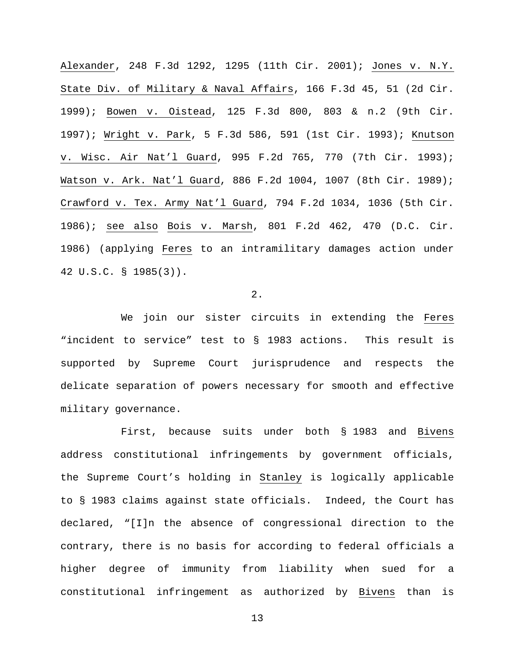Alexander, 248 F.3d 1292, 1295 (11th Cir. 2001); Jones v. N.Y. State Div. of Military & Naval Affairs, 166 F.3d 45, 51 (2d Cir. 1999); Bowen v. Oistead, 125 F.3d 800, 803 & n.2 (9th Cir. 1997); Wright v. Park, 5 F.3d 586, 591 (1st Cir. 1993); Knutson v. Wisc. Air Nat'l Guard, 995 F.2d 765, 770 (7th Cir. 1993); Watson v. Ark. Nat'l Guard, 886 F.2d 1004, 1007 (8th Cir. 1989); Crawford v. Tex. Army Nat'l Guard, 794 F.2d 1034, 1036 (5th Cir. 1986); see also Bois v. Marsh, 801 F.2d 462, 470 (D.C. Cir. 1986) (applying Feres to an intramilitary damages action under 42 U.S.C. § 1985(3)).

2.

We join our sister circuits in extending the Feres "incident to service" test to § 1983 actions. This result is supported by Supreme Court jurisprudence and respects the delicate separation of powers necessary for smooth and effective military governance.

First, because suits under both § 1983 and Bivens address constitutional infringements by government officials, the Supreme Court's holding in Stanley is logically applicable to § 1983 claims against state officials. Indeed, the Court has declared, "[I]n the absence of congressional direction to the contrary, there is no basis for according to federal officials a higher degree of immunity from liability when sued for a constitutional infringement as authorized by Bivens than is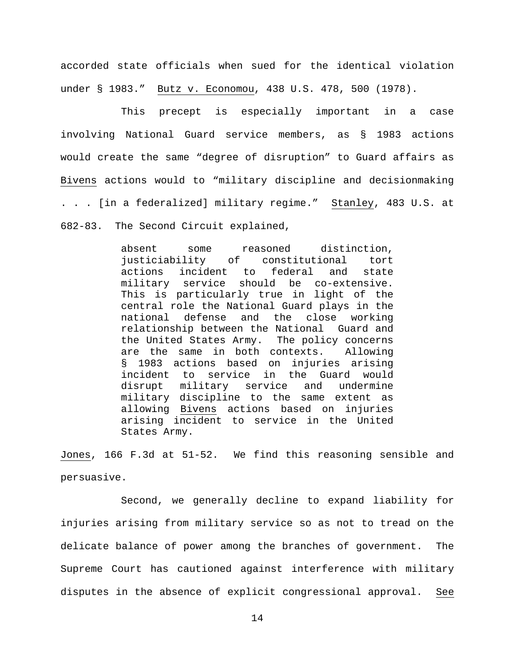accorded state officials when sued for the identical violation under § 1983." Butz v. Economou, 438 U.S. 478, 500 (1978).

This precept is especially important in a case involving National Guard service members, as § 1983 actions would create the same "degree of disruption" to Guard affairs as Bivens actions would to "military discipline and decisionmaking . . . [in a federalized] military regime." Stanley, 483 U.S. at 682-83. The Second Circuit explained,

> absent some reasoned distinction,<br>justiciability of constitutional tort justiciability of constitutional tort<br>actions incident to federal and state actions incident to federal military service should be co-extensive. This is particularly true in light of the central role the National Guard plays in the national defense and the close working relationship between the National Guard and the United States Army. The policy concerns<br>are the same in both contexts. Allowing are the same in both contexts. § 1983 actions based on injuries arising incident to service in the Guard would disrupt military service and undermine military discipline to the same extent as allowing Bivens actions based on injuries arising incident to service in the United States Army.

Jones, 166 F.3d at 51-52. We find this reasoning sensible and persuasive.

Second, we generally decline to expand liability for injuries arising from military service so as not to tread on the delicate balance of power among the branches of government. The Supreme Court has cautioned against interference with military disputes in the absence of explicit congressional approval. See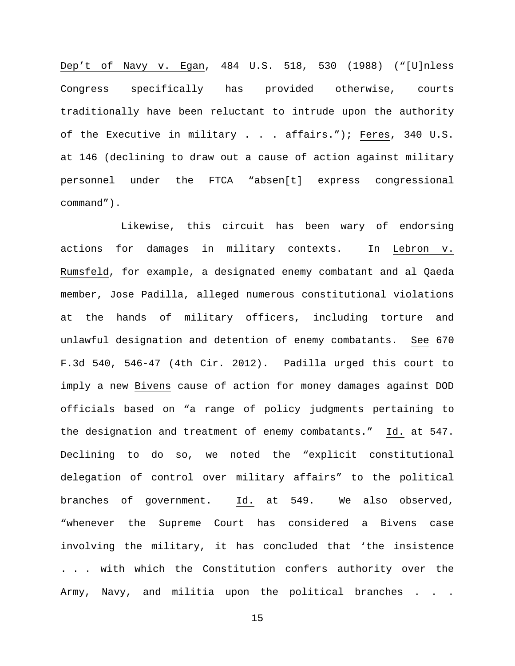Dep't of Navy v. Egan, 484 U.S. 518, 530 (1988) ("[U]nless Congress specifically has provided otherwise, courts traditionally have been reluctant to intrude upon the authority of the Executive in military . . . affairs."); Feres, 340 U.S. at 146 (declining to draw out a cause of action against military personnel under the FTCA "absen[t] express congressional command").

Likewise, this circuit has been wary of endorsing actions for damages in military contexts. In Lebron v. Rumsfeld, for example, a designated enemy combatant and al Qaeda member, Jose Padilla, alleged numerous constitutional violations at the hands of military officers, including torture and unlawful designation and detention of enemy combatants. See 670 F.3d 540, 546-47 (4th Cir. 2012). Padilla urged this court to imply a new Bivens cause of action for money damages against DOD officials based on "a range of policy judgments pertaining to the designation and treatment of enemy combatants." Id. at 547. Declining to do so, we noted the "explicit constitutional delegation of control over military affairs" to the political branches of government. Id. at 549. We also observed, "whenever the Supreme Court has considered a Bivens case involving the military, it has concluded that 'the insistence . . . with which the Constitution confers authority over the Army, Navy, and militia upon the political branches . . .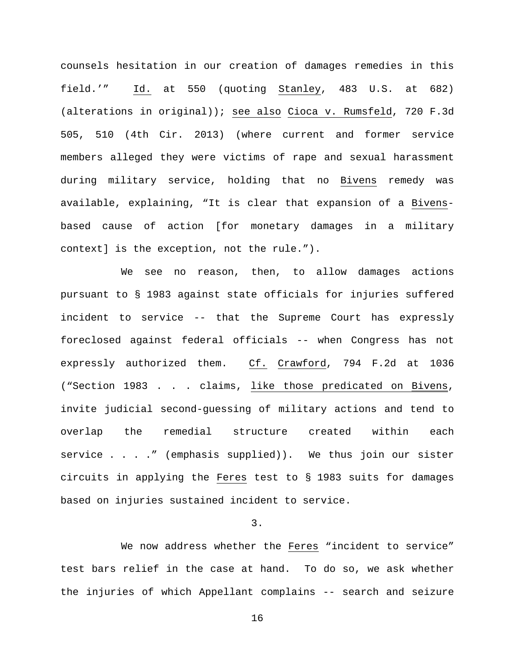counsels hesitation in our creation of damages remedies in this field.'" Id. at 550 (quoting Stanley, 483 U.S. at 682) (alterations in original)); see also Cioca v. Rumsfeld, 720 F.3d 505, 510 (4th Cir. 2013) (where current and former service members alleged they were victims of rape and sexual harassment during military service, holding that no Bivens remedy was available, explaining, "It is clear that expansion of a Bivensbased cause of action [for monetary damages in a military context] is the exception, not the rule.").

We see no reason, then, to allow damages actions pursuant to § 1983 against state officials for injuries suffered incident to service -- that the Supreme Court has expressly foreclosed against federal officials -- when Congress has not expressly authorized them. Cf. Crawford, 794 F.2d at 1036 ("Section 1983 . . . claims, like those predicated on Bivens, invite judicial second-guessing of military actions and tend to overlap the remedial structure created within each service . . . ." (emphasis supplied)). We thus join our sister circuits in applying the Feres test to § 1983 suits for damages based on injuries sustained incident to service.

# 3.

We now address whether the Feres "incident to service" test bars relief in the case at hand. To do so, we ask whether the injuries of which Appellant complains -- search and seizure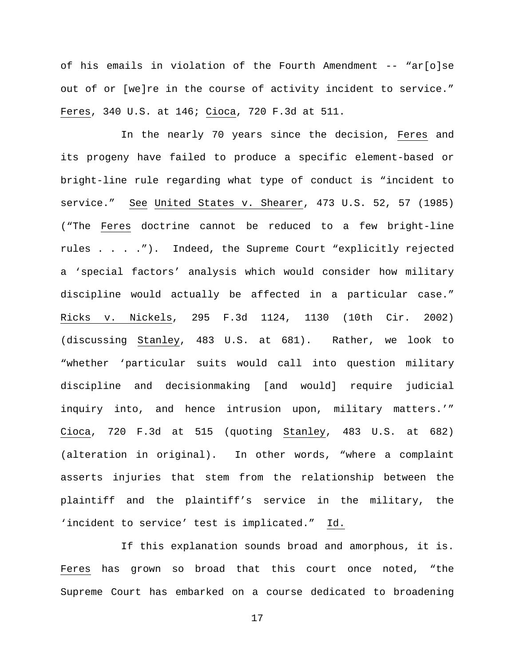of his emails in violation of the Fourth Amendment -- "ar[o]se out of or [we]re in the course of activity incident to service." Feres, 340 U.S. at 146; Cioca, 720 F.3d at 511.

In the nearly 70 years since the decision, Feres and its progeny have failed to produce a specific element-based or bright-line rule regarding what type of conduct is "incident to service." See United States v. Shearer, 473 U.S. 52, 57 (1985) ("The Feres doctrine cannot be reduced to a few bright-line rules . . . ."). Indeed, the Supreme Court "explicitly rejected a 'special factors' analysis which would consider how military discipline would actually be affected in a particular case." Ricks v. Nickels, 295 F.3d 1124, 1130 (10th Cir. 2002) (discussing Stanley, 483 U.S. at 681). Rather, we look to "whether 'particular suits would call into question military discipline and decisionmaking [and would] require judicial inquiry into, and hence intrusion upon, military matters.'" Cioca, 720 F.3d at 515 (quoting Stanley, 483 U.S. at 682) (alteration in original). In other words, "where a complaint asserts injuries that stem from the relationship between the plaintiff and the plaintiff's service in the military, the 'incident to service' test is implicated." Id.

If this explanation sounds broad and amorphous, it is. Feres has grown so broad that this court once noted, "the Supreme Court has embarked on a course dedicated to broadening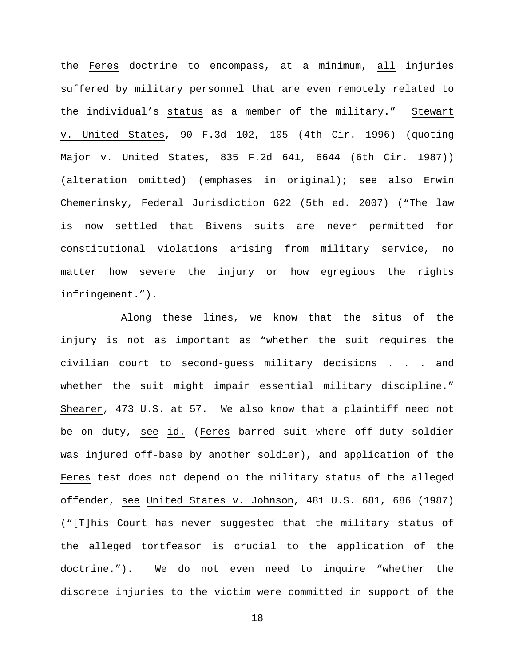the Feres doctrine to encompass, at a minimum, all injuries suffered by military personnel that are even remotely related to the individual's status as a member of the military." Stewart v. United States, 90 F.3d 102, 105 (4th Cir. 1996) (quoting Major v. United States, 835 F.2d 641, 6644 (6th Cir. 1987)) (alteration omitted) (emphases in original); see also Erwin Chemerinsky, Federal Jurisdiction 622 (5th ed. 2007) ("The law is now settled that Bivens suits are never permitted for constitutional violations arising from military service, no matter how severe the injury or how egregious the rights infringement.").

Along these lines, we know that the situs of the injury is not as important as "whether the suit requires the civilian court to second-guess military decisions . . . and whether the suit might impair essential military discipline." Shearer, 473 U.S. at 57. We also know that a plaintiff need not be on duty, see id. (Feres barred suit where off-duty soldier was injured off-base by another soldier), and application of the Feres test does not depend on the military status of the alleged offender, see United States v. Johnson, 481 U.S. 681, 686 (1987) ("[T]his Court has never suggested that the military status of the alleged tortfeasor is crucial to the application of the doctrine."). We do not even need to inquire "whether the discrete injuries to the victim were committed in support of the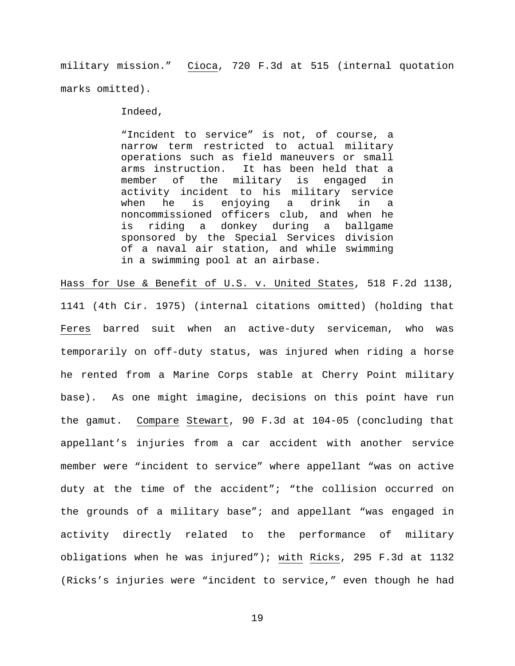military mission." Cioca, 720 F.3d at 515 (internal quotation marks omitted).

Indeed,

"Incident to service" is not, of course, a narrow term restricted to actual military operations such as field maneuvers or small arms instruction. It has been held that a<br>member of the military is engaged in the military is engaged in activity incident to his military service<br>when he is enjoying a drink in a when he is enjoying a drink in a noncommissioned officers club, and when he is riding a donkey during a ballgame sponsored by the Special Services division of a naval air station, and while swimming in a swimming pool at an airbase.

Hass for Use & Benefit of U.S. v. United States, 518 F.2d 1138, 1141 (4th Cir. 1975) (internal citations omitted) (holding that Feres barred suit when an active-duty serviceman, who was temporarily on off-duty status, was injured when riding a horse he rented from a Marine Corps stable at Cherry Point military base). As one might imagine, decisions on this point have run the gamut. Compare Stewart, 90 F.3d at 104-05 (concluding that appellant's injuries from a car accident with another service member were "incident to service" where appellant "was on active duty at the time of the accident"; "the collision occurred on the grounds of a military base"; and appellant "was engaged in activity directly related to the performance of military obligations when he was injured"); with Ricks, 295 F.3d at 1132 (Ricks's injuries were "incident to service," even though he had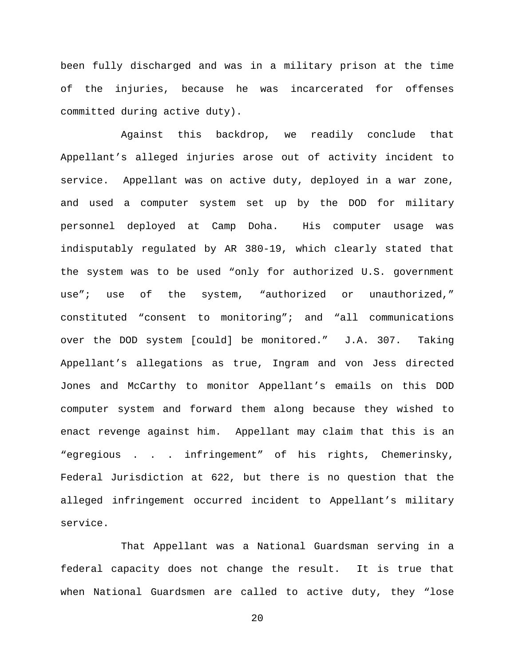been fully discharged and was in a military prison at the time of the injuries, because he was incarcerated for offenses committed during active duty).

Against this backdrop, we readily conclude that Appellant's alleged injuries arose out of activity incident to service. Appellant was on active duty, deployed in a war zone, and used a computer system set up by the DOD for military personnel deployed at Camp Doha. His computer usage was indisputably regulated by AR 380-19, which clearly stated that the system was to be used "only for authorized U.S. government use"; use of the system, "authorized or unauthorized," constituted "consent to monitoring"; and "all communications over the DOD system [could] be monitored." J.A. 307. Taking Appellant's allegations as true, Ingram and von Jess directed Jones and McCarthy to monitor Appellant's emails on this DOD computer system and forward them along because they wished to enact revenge against him. Appellant may claim that this is an "egregious . . . infringement" of his rights, Chemerinsky, Federal Jurisdiction at 622, but there is no question that the alleged infringement occurred incident to Appellant's military service.

That Appellant was a National Guardsman serving in a federal capacity does not change the result. It is true that when National Guardsmen are called to active duty, they "lose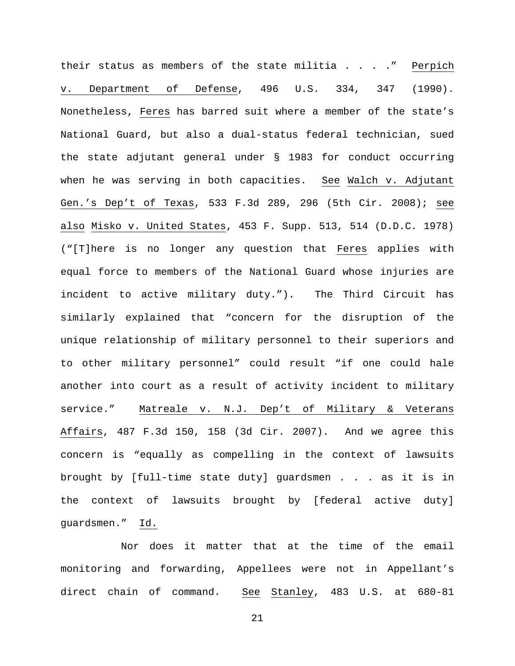their status as members of the state militia  $\ldots$  . . . " Perpich v. Department of Defense, 496 U.S. 334, 347 (1990). Nonetheless, Feres has barred suit where a member of the state's National Guard, but also a dual-status federal technician, sued the state adjutant general under § 1983 for conduct occurring when he was serving in both capacities. See Walch v. Adjutant Gen.'s Dep't of Texas, 533 F.3d 289, 296 (5th Cir. 2008); see also Misko v. United States, 453 F. Supp. 513, 514 (D.D.C. 1978) ("[T]here is no longer any question that Feres applies with equal force to members of the National Guard whose injuries are incident to active military duty."). The Third Circuit has similarly explained that "concern for the disruption of the unique relationship of military personnel to their superiors and to other military personnel" could result "if one could hale another into court as a result of activity incident to military service." Matreale v. N.J. Dep't of Military & Veterans Affairs, 487 F.3d 150, 158 (3d Cir. 2007). And we agree this concern is "equally as compelling in the context of lawsuits brought by [full-time state duty] guardsmen . . . as it is in the context of lawsuits brought by [federal active duty] guardsmen." Id.

Nor does it matter that at the time of the email monitoring and forwarding, Appellees were not in Appellant's direct chain of command. See Stanley, 483 U.S. at 680-81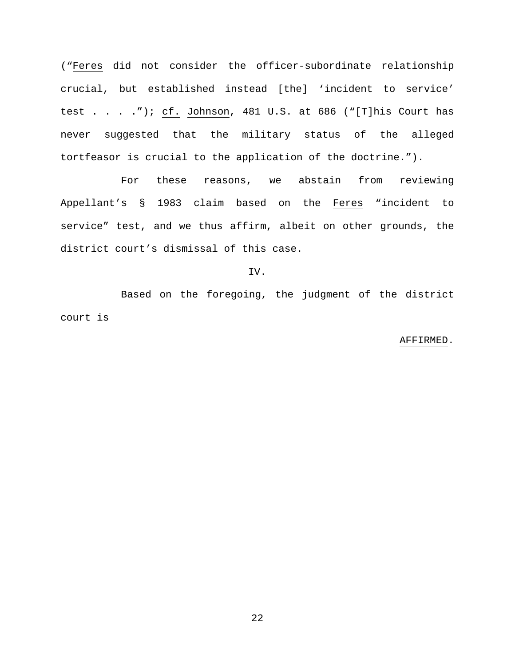("Feres did not consider the officer-subordinate relationship crucial, but established instead [the] 'incident to service' test . . . ."); cf. Johnson, 481 U.S. at 686 ("[T]his Court has never suggested that the military status of the alleged tortfeasor is crucial to the application of the doctrine.").

For these reasons, we abstain from reviewing Appellant's § 1983 claim based on the Feres "incident to service" test, and we thus affirm, albeit on other grounds, the district court's dismissal of this case.

### IV.

Based on the foregoing, the judgment of the district court is

#### AFFIRMED.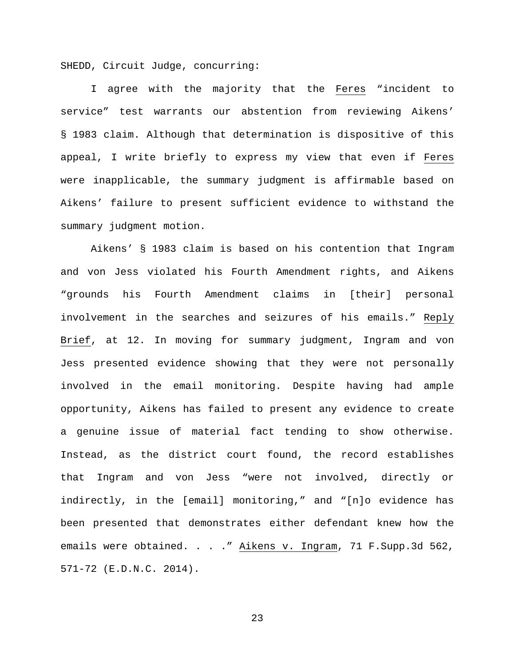SHEDD, Circuit Judge, concurring:

I agree with the majority that the Feres "incident to service" test warrants our abstention from reviewing Aikens' § 1983 claim. Although that determination is dispositive of this appeal, I write briefly to express my view that even if Feres were inapplicable, the summary judgment is affirmable based on Aikens' failure to present sufficient evidence to withstand the summary judgment motion.

Aikens' § 1983 claim is based on his contention that Ingram and von Jess violated his Fourth Amendment rights, and Aikens "grounds his Fourth Amendment claims in [their] personal involvement in the searches and seizures of his emails." Reply Brief, at 12. In moving for summary judgment, Ingram and von Jess presented evidence showing that they were not personally involved in the email monitoring. Despite having had ample opportunity, Aikens has failed to present any evidence to create a genuine issue of material fact tending to show otherwise. Instead, as the district court found, the record establishes that Ingram and von Jess "were not involved, directly or indirectly, in the [email] monitoring," and "[n]o evidence has been presented that demonstrates either defendant knew how the emails were obtained. . . ." Aikens v. Ingram, 71 F. Supp. 3d 562, 571-72 (E.D.N.C. 2014).